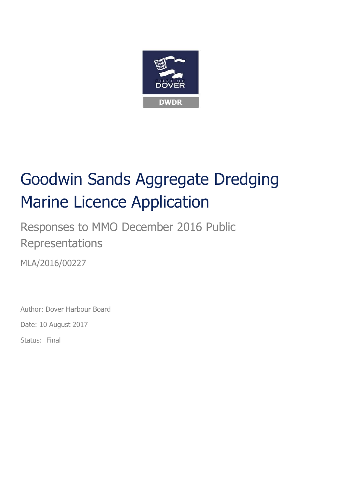

# Goodwin Sands Aggregate Dredging Marine Licence Application

Responses to MMO December 2016 Public Representations

MLA/2016/00227

Author: Dover Harbour Board

Date: 10 August 2017

Status: Final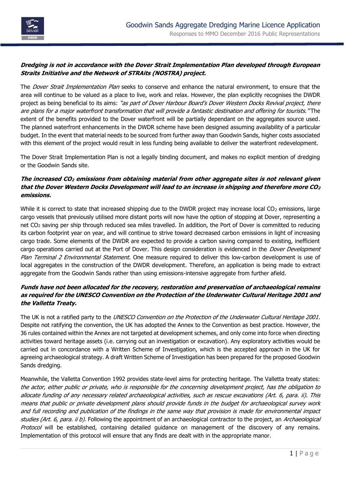

## **Dredging is not in accordance with the Dover Strait Implementation Plan developed through European Straits Initiative and the Network of STRAits (NOSTRA) project.**

The *Dover Strait Implementation Plan* seeks to conserve and enhance the natural environment, to ensure that the area will continue to be valued as a place to live, work and relax. However, the plan explicitly recognises the DWDR project as being beneficial to its aims: "as part of Dover Harbour Board's Dover Western Docks Revival project, there are plans for a major waterfront transformation that will provide a fantastic destination and offering for tourists." The extent of the benefits provided to the Dover waterfront will be partially dependant on the aggregates source used. The planned waterfront enhancements in the DWDR scheme have been designed assuming availability of a particular budget. In the event that material needs to be sourced from further away than Goodwin Sands, higher costs associated with this element of the project would result in less funding being available to deliver the waterfront redevelopment.

The Dover Strait Implementation Plan is not a legally binding document, and makes no explicit mention of dredging or the Goodwin Sands site.

## **The increased CO<sup>2</sup> emissions from obtaining material from other aggregate sites is not relevant given that the Dover Western Docks Development will lead to an increase in shipping and therefore more CO<sup>2</sup> emissions.**

While it is correct to state that increased shipping due to the DWDR project may increase local  $CO<sub>2</sub>$  emissions, large cargo vessels that previously utilised more distant ports will now have the option of stopping at Dover, representing a net CO<sub>2</sub> saving per ship through reduced sea miles travelled. In addition, the Port of Dover is committed to reducing its carbon footprint year on year, and will continue to strive toward decreased carbon emissions in light of increasing cargo trade. Some elements of the DWDR are expected to provide a carbon saving compared to existing, inefficient cargo operations carried out at the Port of Dover. This design consideration is evidenced in the *Dover Development* Plan Terminal 2 Environmental Statement. One measure required to deliver this low-carbon development is use of local aggregates in the construction of the DWDR development. Therefore, an application is being made to extract aggregate from the Goodwin Sands rather than using emissions-intensive aggregate from further afield.

## **Funds have not been allocated for the recovery, restoration and preservation of archaeological remains as required for the UNESCO Convention on the Protection of the Underwater Cultural Heritage 2001 and the Valletta Treaty.**

The UK is not a ratified party to the UNESCO Convention on the Protection of the Underwater Cultural Heritage 2001. Despite not ratifying the convention, the UK has adopted the Annex to the Convention as best practice. However, the 36 rules contained within the Annex are not targeted at development schemes, and only come into force when directing activities toward heritage assets (i.e. carrying out an investigation or excavation). Any exploratory activities would be carried out in concordance with a Written Scheme of Investigation, which is the accepted approach in the UK for agreeing archaeological strategy. A draft Written Scheme of Investigation has been prepared for the proposed Goodwin Sands dredging.

Meanwhile, the Valletta Convention 1992 provides state-level aims for protecting heritage. The Valletta treaty states: the actor, eithe[r public](https://en.wikipedia.org/wiki/Public) or private, who is responsible for the concerning development project, has the obligation to allocate funding of any necessary related archaeological activities, such as rescue excavations (Art. 6, para. ii). This means that public or private development plans should provide funds in the budget for archaeological survey work and full recording and publication of the findings in the same way that provision is made for environmental impact studies (Art. 6, para. ii b). Following the appointment of an archaeological contractor to the project, an Archaeological Protocol will be established, containing detailed guidance on management of the discovery of any remains. Implementation of this protocol will ensure that any finds are dealt with in the appropriate manor.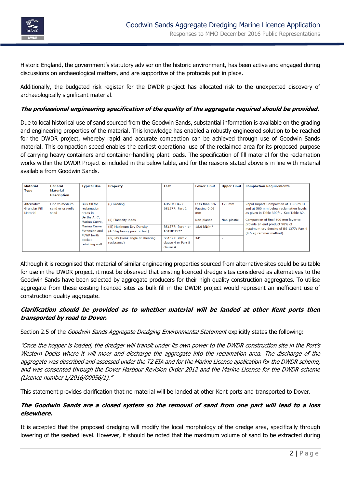

Historic England, the government's statutory advisor on the historic environment, has been active and engaged during discussions on archaeological matters, and are supportive of the protocols put in place.

Additionally, the budgeted risk register for the DWDR project has allocated risk to the unexpected discovery of archaeologically significant material.

#### **The professional engineering specification of the quality of the aggregate required should be provided.**

Due to local historical use of sand sourced from the Goodwin Sands, substantial information is available on the grading and engineering properties of the material. This knowledge has enabled a robustly engineered solution to be reached for the DWDR project, whereby rapid and accurate compaction can be achieved through use of Goodwin Sands material. This compaction speed enables the earliest operational use of the reclaimed area for its proposed purpose of carrying heavy containers and container-handling plant loads. The specification of fill material for the reclamation works within the DWDR Project is included in the below table, and for the reasons stated above is in line with material available from Goodwin Sands.

| Material<br><b>Type</b>                         | General<br><b>Material</b><br><b>Description</b> | <b>Typical Use</b>                                                                                                                                                 | <b>Property</b>                                                                   | <b>Test</b>                                             | <b>Lower Limit</b>                    | <b>Upper Limit</b>                      | <b>Compaction Requirements</b>                                                                                                                                                                                                                                       |
|-------------------------------------------------|--------------------------------------------------|--------------------------------------------------------------------------------------------------------------------------------------------------------------------|-----------------------------------------------------------------------------------|---------------------------------------------------------|---------------------------------------|-----------------------------------------|----------------------------------------------------------------------------------------------------------------------------------------------------------------------------------------------------------------------------------------------------------------------|
| Alternative<br><b>Granular Fill</b><br>Material | Fine to medium<br>sand or gravelly<br>sand       | <b>Bulk fill for</b><br>reclamation<br>areas in<br>Berths A, C,<br>Marina Curve,<br>Marina Curve<br><b>Extension and</b><br>PoWP berth<br>pocket<br>retaining wall | (i) Grading                                                                       | <b>ADSTM D422</b><br><b>BS1377: Part 2</b>              | Less than 5%<br>Passing 0.06<br>mm    | $125$ mm                                | Rapid Impact Compaction at +3.8 mCD<br>and at 500 mm below reclamation levels<br>as given in Table 302/1. See Table A2.<br>Compaction of final 500 mm layer to<br>provide an end product 98% of<br>maximum dry density of BS 1377: Part 4<br>(4.5 kg rammer method). |
|                                                 |                                                  |                                                                                                                                                                    | (ii) Plasticity index<br>(iii) Maximum Dry Density<br>(4.5 kg heavy proctor test) | <b>BS1377: Part 4 or</b><br><b>ASTMD1577</b>            | Non-plastic<br>18.0 kN/m <sup>3</sup> | Non-plastic<br>$\overline{\phantom{a}}$ |                                                                                                                                                                                                                                                                      |
|                                                 |                                                  |                                                                                                                                                                    | (iv) Phi (Peak angle of shearing<br>resistance)                                   | <b>BS1377: Part 7</b><br>clause 4 or Part 8<br>clause 4 | $34^\circ$                            | ٠                                       |                                                                                                                                                                                                                                                                      |

Although it is recognised that material of similar engineering properties sourced from alternative sites could be suitable for use in the DWDR project, it must be observed that existing licenced dredge sites considered as alternatives to the Goodwin Sands have been selected by aggregate producers for their high quality construction aggregates. To utilise aggregate from these existing licenced sites as bulk fill in the DWDR project would represent an inefficient use of construction quality aggregate.

#### **Clarification should be provided as to whether material will be landed at other Kent ports then transported by road to Dover.**

Section 2.5 of the *Goodwin Sands Aggregate Dredging Environmental Statement* explicitly states the following:

"Once the hopper is loaded, the dredger will transit under its own power to the DWDR construction site in the Port's Western Docks where it will moor and discharge the aggregate into the reclamation area. The discharge of the aggregate was described and assessed under the T2 EIA and for the Marine Licence application for the DWDR scheme, and was consented through the Dover Harbour Revision Order 2012 and the Marine Licence for the DWDR scheme (Licence number L/2016/00056/1)."

This statement provides clarification that no material will be landed at other Kent ports and transported to Dover.

#### **The Goodwin Sands are a closed system so the removal of sand from one part will lead to a loss elsewhere.**

It is accepted that the proposed dredging will modify the local morphology of the dredge area, specifically through lowering of the seabed level. However, it should be noted that the maximum volume of sand to be extracted during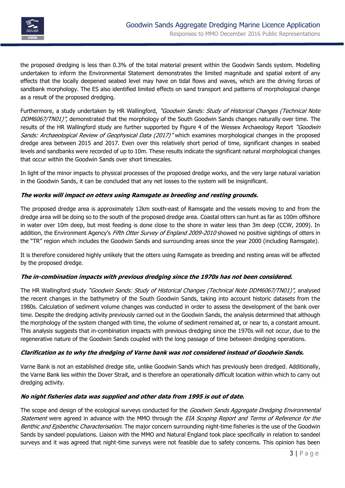

the proposed dredging is less than 0.3% of the total material present within the Goodwin Sands system. Modelling undertaken to inform the Environmental Statement demonstrates the limited magnitude and spatial extent of any effects that the locally deepened seabed level may have on tidal flows and waves, which are the driving forces of sandbank morphology. The ES also identified limited effects on sand transport and patterns of morphological change as a result of the proposed dredging.

Furthermore, a study undertaken by HR Wallingford, "Goodwin Sands: Study of Historical Changes (Technical Note DDM6067/TN01)", demonstrated that the morphology of the South Goodwin Sands changes naturally over time. The results of the HR Wallingford study are further supported by Figure 4 of the Wessex Archaeology Report "Goodwin Sands: Archaeological Review of Geophysical Data (2017)" which examines morphological changes in the proposed dredge area between 2015 and 2017. Even over this relatively short period of time, significant changes in seabed levels and sandbanks were recorded of up to 10m. These results indicate the significant natural morphological changes that occur within the Goodwin Sands over short timescales.

In light of the minor impacts to physical processes of the proposed dredge works, and the very large natural variation in the Goodwin Sands, it can be concluded that any net losses to the system will be insignificant.

## **The works will impact on otters using Ramsgate as breeding and resting grounds.**

The proposed dredge area is approximately 12km south-east of Ramsgate and the vessels moving to and from the dredge area will be doing so to the south of the proposed dredge area. Coastal otters can hunt as far as 100m offshore in water over 10m deep, but most feeding is done close to the shore in water less than 3m deep (CCW, 2009). In addition, the Environment Agency's Fifth Otter Survey of England 2009-2010 showed no positive sightings of otters in the "TR" region which includes the Goodwin Sands and surrounding areas since the year 2000 (including Ramsgate).

It is therefore considered highly unlikely that the otters using Ramsgate as breeding and resting areas will be affected by the proposed dredge.

#### **The in-combination impacts with previous dredging since the 1970s has not been considered.**

The HR Wallingford study "Goodwin Sands: Study of Historical Changes (Technical Note DDM6067/TN01)", analysed the recent changes in the bathymetry of the South Goodwin Sands, taking into account historic datasets from the 1980s. Calculation of sediment volume changes was conducted in order to assess the development of the bank over time. Despite the dredging activity previously carried out in the Goodwin Sands, the analysis determined that although the morphology of the system changed with time, the volume of sediment remained at, or near to, a constant amount. This analysis suggests that in-combination impacts with previous dredging since the 1970s will not occur, due to the regenerative nature of the Goodwin Sands coupled with the long passage of time between dredging operations.

#### **Clarification as to why the dredging of Varne bank was not considered instead of Goodwin Sands.**

Varne Bank is not an established dredge site, unlike Goodwin Sands which has previously been dredged. Additionally, the Varne Bank lies within the Dover Strait, and is therefore an operationally difficult location within which to carry out dredging activity.

#### **No night fisheries data was supplied and other data from 1995 is out of date.**

The scope and design of the ecological surveys conducted for the Goodwin Sands Aggregate Dredging Environmental Statement were agreed in advance with the MMO through the EIA Scoping Report and Terms of Reference for the Benthic and Epibenthic Characterisation. The major concern surrounding night-time fisheries is the use of the Goodwin Sands by sandeel populations. Liaison with the MMO and Natural England took place specifically in relation to sandeel surveys and it was agreed that night-time surveys were not feasible due to safety concerns. This opinion has been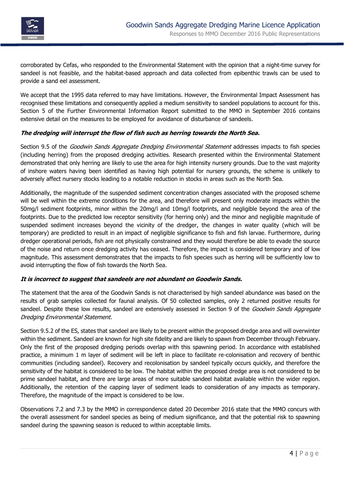

corroborated by Cefas, who responded to the Environmental Statement with the opinion that a night-time survey for sandeel is not feasible, and the habitat-based approach and data collected from epibenthic trawls can be used to provide a sand eel assessment.

We accept that the 1995 data referred to may have limitations. However, the Environmental Impact Assessment has recognised these limitations and consequently applied a medium sensitivity to sandeel populations to account for this. Section 5 of the Further Environmental Information Report submitted to the MMO in September 2016 contains extensive detail on the measures to be employed for avoidance of disturbance of sandeels.

#### **The dredging will interrupt the flow of fish such as herring towards the North Sea.**

Section 9.5 of the Goodwin Sands Aggregate Dredging Environmental Statement addresses impacts to fish species (including herring) from the proposed dredging activities. Research presented within the Environmental Statement demonstrated that only herring are likely to use the area for high intensity nursery grounds. Due to the vast majority of inshore waters having been identified as having high potential for nursery grounds, the scheme is unlikely to adversely affect nursery stocks leading to a notable reduction in stocks in areas such as the North Sea.

Additionally, the magnitude of the suspended sediment concentration changes associated with the proposed scheme will be well within the extreme conditions for the area, and therefore will present only moderate impacts within the 50mg/l sediment footprints, minor within the 20mg/l and 10mg/l footprints, and negligible beyond the area of the footprints. Due to the predicted low receptor sensitivity (for herring only) and the minor and negligible magnitude of suspended sediment increases beyond the vicinity of the dredger, the changes in water quality (which will be temporary) are predicted to result in an impact of negligible significance to fish and fish larvae. Furthermore, during dredger operational periods, fish are not physically constrained and they would therefore be able to evade the source of the noise and return once dredging activity has ceased. Therefore, the impact is considered temporary and of low magnitude. This assessment demonstrates that the impacts to fish species such as herring will be sufficiently low to avoid interrupting the flow of fish towards the North Sea.

#### **It is incorrect to suggest that sandeels are not abundant on Goodwin Sands.**

The statement that the area of the Goodwin Sands is not characterised by high sandeel abundance was based on the results of grab samples collected for faunal analysis. Of 50 collected samples, only 2 returned positive results for sandeel. Despite these low results, sandeel are extensively assessed in Section 9 of the Goodwin Sands Aggregate Dredging Environmental Statement.

Section 9.5.2 of the ES, states that sandeel are likely to be present within the proposed dredge area and will overwinter within the sediment. Sandeel are known for high site fidelity and are likely to spawn from December through February. Only the first of the proposed dredging periods overlap with this spawning period. In accordance with established practice, a minimum 1 m layer of sediment will be left in place to facilitate re-colonisation and recovery of benthic communities (including sandeel). Recovery and recolonisation by sandeel typically occurs quickly, and therefore the sensitivity of the habitat is considered to be low. The habitat within the proposed dredge area is not considered to be prime sandeel habitat, and there are large areas of more suitable sandeel habitat available within the wider region. Additionally, the retention of the capping layer of sediment leads to consideration of any impacts as temporary. Therefore, the magnitude of the impact is considered to be low.

Observations 7.2 and 7.3 by the MMO in correspondence dated 20 December 2016 state that the MMO concurs with the overall assessment for sandeel species as being of medium significance, and that the potential risk to spawning sandeel during the spawning season is reduced to within acceptable limits.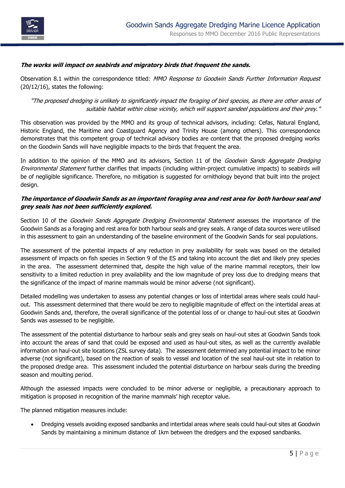

#### **The works will impact on seabirds and migratory birds that frequent the sands.**

Observation 8.1 within the correspondence titled: MMO Response to Goodwin Sands Further Information Request (20/12/16), states the following:

"The proposed dredging is unlikely to significantly impact the foraging of bird species, as there are other areas of suitable habitat within close vicinity, which will support sandeel populations and their prey."

This observation was provided by the MMO and its group of technical advisors, including: Cefas, Natural England, Historic England, the Maritime and Coastguard Agency and Trinity House (among others). This correspondence demonstrates that this competent group of technical advisory bodies are content that the proposed dredging works on the Goodwin Sands will have negligible impacts to the birds that frequent the area.

In addition to the opinion of the MMO and its advisors, Section 11 of the *Goodwin Sands Aggregate Dredging* Environmental Statement further clarifies that impacts (including within-project cumulative impacts) to seabirds will be of negligible significance. Therefore, no mitigation is suggested for ornithology beyond that built into the project design.

#### **The importance of Goodwin Sands as an important foraging area and rest area for both harbour seal and grey seals has not been sufficiently explored.**

Section 10 of the *Goodwin Sands Aggregate Dredging Environmental Statement* assesses the importance of the Goodwin Sands as a foraging and rest area for both harbour seals and grey seals. A range of data sources were utilised in this assessment to gain an understanding of the baseline environment of the Goodwin Sands for seal populations.

The assessment of the potential impacts of any reduction in prey availability for seals was based on the detailed assessment of impacts on fish species in Section 9 of the ES and taking into account the diet and likely prey species in the area. The assessment determined that, despite the high value of the marine mammal receptors, their low sensitivity to a limited reduction in prey availability and the low magnitude of prey loss due to dredging means that the significance of the impact of marine mammals would be minor adverse (not significant).

Detailed modelling was undertaken to assess any potential changes or loss of intertidal areas where seals could haulout. This assessment determined that there would be zero to negligible magnitude of effect on the intertidal areas at Goodwin Sands and, therefore, the overall significance of the potential loss of or change to haul-out sites at Goodwin Sands was assessed to be negligible.

The assessment of the potential disturbance to harbour seals and grey seals on haul-out sites at Goodwin Sands took into account the areas of sand that could be exposed and used as haul-out sites, as well as the currently available information on haul-out site locations (ZSL survey data). The assessment determined any potential impact to be minor adverse (not significant), based on the reaction of seals to vessel and location of the seal haul-out site in relation to the proposed dredge area. This assessment included the potential disturbance on harbour seals during the breeding season and moulting period.

Although the assessed impacts were concluded to be minor adverse or negligible, a precautionary approach to mitigation is proposed in recognition of the marine mammals' high receptor value.

The planned mitigation measures include:

 Dredging vessels avoiding exposed sandbanks and intertidal areas where seals could haul-out sites at Goodwin Sands by maintaining a minimum distance of 1km between the dredgers and the exposed sandbanks.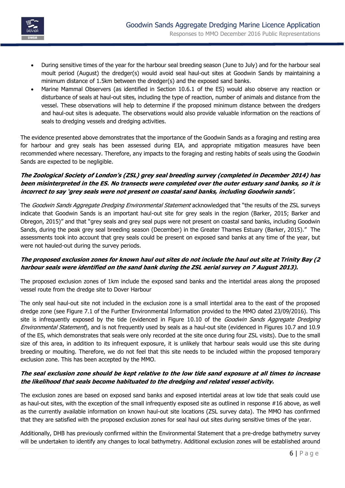

- During sensitive times of the year for the harbour seal breeding season (June to July) and for the harbour seal moult period (August) the dredger(s) would avoid seal haul-out sites at Goodwin Sands by maintaining a minimum distance of 1.5km between the dredger(s) and the exposed sand banks.
- Marine Mammal Observers (as identified in Section 10.6.1 of the ES) would also observe any reaction or disturbance of seals at haul-out sites, including the type of reaction, number of animals and distance from the vessel. These observations will help to determine if the proposed minimum distance between the dredgers and haul-out sites is adequate. The observations would also provide valuable information on the reactions of seals to dredging vessels and dredging activities.

The evidence presented above demonstrates that the importance of the Goodwin Sands as a foraging and resting area for harbour and grey seals has been assessed during EIA, and appropriate mitigation measures have been recommended where necessary. Therefore, any impacts to the foraging and resting habits of seals using the Goodwin Sands are expected to be negligible.

## **The Zoological Society of London's (ZSL) grey seal breeding survey (completed in December 2014) has been misinterpreted in the ES. No transects were completed over the outer estuary sand banks, so it is incorrect to say 'grey seals were not present on coastal sand banks, including Goodwin sands'.**

The Goodwin Sands Aggregate Dredging Environmental Statement acknowledged that "the results of the ZSL surveys indicate that Goodwin Sands is an important haul-out site for grey seals in the region (Barker, 2015; Barker and Obregon, 2015)" and that "grey seals and grey seal pups were not present on coastal sand banks, including Goodwin Sands, during the peak grey seal breeding season (December) in the Greater Thames Estuary (Barker, 2015)." The assessments took into account that grey seals could be present on exposed sand banks at any time of the year, but were not hauled-out during the survey periods.

## **The proposed exclusion zones for known haul out sites do not include the haul out site at Trinity Bay (2 harbour seals were identified on the sand bank during the ZSL aerial survey on 7 August 2013).**

The proposed exclusion zones of 1km include the exposed sand banks and the intertidal areas along the proposed vessel route from the dredge site to Dover Harbour

The only seal haul-out site not included in the exclusion zone is a small intertidal area to the east of the proposed dredge zone (see Figure 7.1 of the Further Environmental Information provided to the MMO dated 23/09/2016). This site is infrequently exposed by the tide (evidenced in Figure 10.10 of the Goodwin Sands Aggregate Dredging Environmental Statement), and is not frequently used by seals as a haul-out site (evidenced in Figures 10.7 and 10.9 of the ES, which demonstrates that seals were only recorded at the site once during four ZSL visits). Due to the small size of this area, in addition to its infrequent exposure, it is unlikely that harbour seals would use this site during breeding or moulting. Therefore, we do not feel that this site needs to be included within the proposed temporary exclusion zone. This has been accepted by the MMO.

## **The seal exclusion zone should be kept relative to the low tide sand exposure at all times to increase the likelihood that seals become habituated to the dredging and related vessel activity.**

The exclusion zones are based on exposed sand banks and exposed intertidal areas at low tide that seals could use as haul-out sites, with the exception of the small infrequently exposed site as outlined in response #16 above, as well as the currently available information on known haul-out site locations (ZSL survey data). The MMO has confirmed that they are satisfied with the proposed exclusion zones for seal haul out sites during sensitive times of the year.

Additionally, DHB has previously confirmed within the Environmental Statement that a pre-dredge bathymetry survey will be undertaken to identify any changes to local bathymetry. Additional exclusion zones will be established around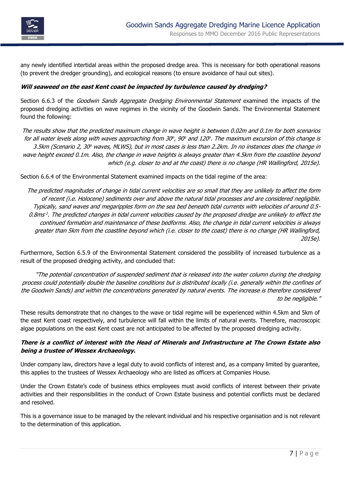

any newly identified intertidal areas within the proposed dredge area. This is necessary for both operational reasons (to prevent the dredger grounding), and ecological reasons (to ensure avoidance of haul out sites).

### **Will seaweed on the east Kent coast be impacted by turbulence caused by dredging?**

Section 6.6.3 of the *Goodwin Sands Aggregate Dredging Environmental Statement* examined the impacts of the proposed dredging activities on wave regimes in the vicinity of the Goodwin Sands. The Environmental Statement found the following:

The results show that the predicted maximum change in wave height is between 0.02m and 0.1m for both scenarios for all water levels along with waves approaching from 30°, 90° and 120°. The maximum excursion of this change is 3.5km (Scenario 2, 30° waves, MLWS), but in most cases is less than 2.2km. In no instances does the change in wave height exceed 0.1m. Also, the change in wave heights is always greater than 4.5km from the coastline beyond which (e.g. closer to and at the coast) there is no change (HR Wallingford, 2015e).

Section 6.6.4 of the Environmental Statement examined impacts on the tidal regime of the area:

The predicted magnitudes of change in tidal current velocities are so small that they are unlikely to affect the form of recent (i.e. Holocene) sediments over and above the natural tidal processes and are considered negligible. Typically, sand waves and megaripples form on the sea bed beneath tidal currents with velocities of around 0.5- 0.8ms<sup>1</sup>. The predicted changes in tidal current velocities caused by the proposed dredge are unlikely to effect the continued formation and maintenance of these bedforms. Also, the change in tidal current velocities is always greater than 5km from the coastline beyond which (i.e. closer to the coast) there is no change (HR Wallingford, 2015e).

Furthermore, Section 6.5.9 of the Environmental Statement considered the possibility of increased turbulence as a result of the proposed dredging activity, and concluded that:

"The potential concentration of suspended sediment that is released into the water column during the dredging process could potentially double the baseline conditions but is distributed locally (i.e. generally within the confines of the Goodwin Sands) and within the concentrations generated by natural events. The increase is therefore considered to be negligible."

These results demonstrate that no changes to the wave or tidal regime will be experienced within 4.5km and 5km of the east Kent coast respectively, and turbulence will fall within the limits of natural events. Therefore, macroscopic algae populations on the east Kent coast are not anticipated to be affected by the proposed dredging activity.

## **There is a conflict of interest with the Head of Minerals and Infrastructure at The Crown Estate also being a trustee of Wessex Archaeology.**

Under company law, directors have a legal duty to avoid conflicts of interest and, as a company limited by guarantee, this applies to the trustees of Wessex Archaeology who are listed as officers at Companies House.

Under the Crown Estate's code of business ethics employees must avoid conflicts of interest between their private activities and their responsibilities in the conduct of Crown Estate business and potential conflicts must be declared and resolved.

This is a governance issue to be managed by the relevant individual and his respective organisation and is not relevant to the determination of this application.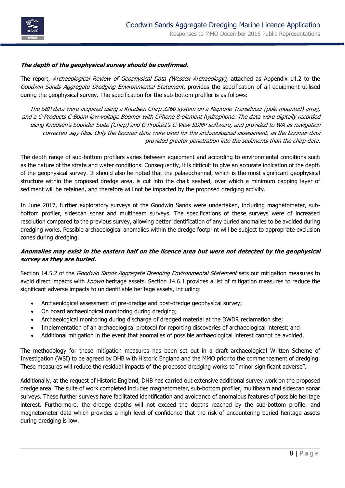

#### **The depth of the geophysical survey should be confirmed.**

The report, Archaeological Review of Geophysical Data (Wessex Archaeology), attached as Appendix 14.2 to the Goodwin Sands Aggregate Dredging Environmental Statement, provides the specification of all equipment utilised during the geophysical survey. The specification for the sub-bottom profiler is as follows:

The SBP data were acquired using a Knudsen Chirp 3260 system on a Neptune Transducer (pole mounted) array, and a C-Products C-Boom low-voltage Boomer with CPhone 8-element hydrophone. The data were digitally recorded using Knudsen's Sounder Suite (Chirp) and C-Product's C-View SDMP software, and provided to WA as navigation corrected .sgy files. Only the boomer data were used for the archaeological assessment, as the boomer data provided greater penetration into the sediments than the chirp data.

The depth range of sub-bottom profilers varies between equipment and according to environmental conditions such as the nature of the strata and water conditions. Consequently, it is difficult to give an accurate indication of the depth of the geophysical survey. It should also be noted that the palaeochannel, which is the most significant geophysical structure within the proposed dredge area, is cut into the chalk seabed, over which a minimum capping layer of sediment will be retained, and therefore will not be impacted by the proposed dredging activity.

In June 2017, further exploratory surveys of the Goodwin Sands were undertaken, including magnetometer, subbottom profiler, sidescan sonar and multibeam surveys. The specifications of these surveys were of increased resolution compared to the previous survey, allowing better identification of any buried anomalies to be avoided during dredging works. Possible archaeological anomalies within the dredge footprint will be subject to appropriate exclusion zones during dredging.

## **Anomalies may exist in the eastern half on the licence area but were not detected by the geophysical survey as they are buried.**

Section 14.5.2 of the *Goodwin Sands Aggregate Dredging Environmental Statement* sets out mitigation measures to avoid direct impacts with known heritage assets. Section 14.6.1 provides a list of mitigation measures to reduce the significant adverse impacts to unidentifiable heritage assets, including:

- Archaeological assessment of pre-dredge and post-dredge geophysical survey;
- On board archaeological monitoring during dredging;
- Archaeological monitoring during discharge of dredged material at the DWDR reclamation site;
- Implementation of an archaeological protocol for reporting discoveries of archaeological interest; and
- Additional mitigation in the event that anomalies of possible archaeological interest cannot be avoided.

The methodology for these mitigation measures has been set out in a draft archaeological Written Scheme of Investigation (WSI) to be agreed by DHB with Historic England and the MMO prior to the commencement of dredging. These measures will reduce the residual impacts of the proposed dredging works to "minor significant adverse".

Additionally, at the request of Historic England, DHB has carried out extensive additional survey work on the proposed dredge area. The suite of work completed includes magnetometer, sub-bottom profiler, multibeam and sidescan sonar surveys. These further surveys have facilitated identification and avoidance of anomalous features of possible heritage interest. Furthermore, the dredge depths will not exceed the depths reached by the sub-bottom profiler and magnetometer data which provides a high level of confidence that the risk of encountering buried heritage assets during dredging is low.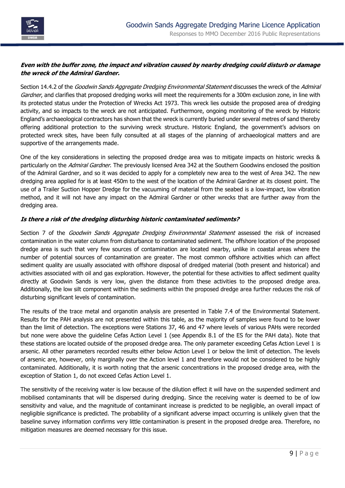

## **Even with the buffer zone, the impact and vibration caused by nearby dredging could disturb or damage the wreck of the Admiral Gardner.**

Section 14.4.2 of the Goodwin Sands Aggregate Dredging Environmental Statement discusses the wreck of the Admiral Gardner, and clarifies that proposed dredging works will meet the requirements for a 300m exclusion zone, in line with its protected status under the Protection of Wrecks Act 1973. This wreck lies outside the proposed area of dredging activity, and so impacts to the wreck are not anticipated. Furthermore, ongoing monitoring of the wreck by Historic England's archaeological contractors has shown that the wreck is currently buried under several metres of sand thereby offering additional protection to the surviving wreck structure. Historic England, the government's advisors on protected wreck sites, have been fully consulted at all stages of the planning of archaeological matters and are supportive of the arrangements made.

One of the key considerations in selecting the proposed dredge area was to mitigate impacts on historic wrecks & particularly on the Admiral Gardner. The previously licensed Area 342 at the Southern Goodwins enclosed the position of the Admiral Gardner, and so it was decided to apply for a completely new area to the west of Area 342. The new dredging area applied for is at least 450m to the west of the location of the Admiral Gardner at its closest point. The use of a Trailer Suction Hopper Dredge for the vacuuming of material from the seabed is a low-impact, low vibration method, and it will not have any impact on the Admiral Gardner or other wrecks that are further away from the dredging area.

#### **Is there a risk of the dredging disturbing historic contaminated sediments?**

Section 7 of the Goodwin Sands Aggregate Dredging Environmental Statement assessed the risk of increased contamination in the water column from disturbance to contaminated sediment. The offshore location of the proposed dredge area is such that very few sources of contamination are located nearby, unlike in coastal areas where the number of potential sources of contamination are greater. The most common offshore activities which can affect sediment quality are usually associated with offshore disposal of dredged material (both present and historical) and activities associated with oil and gas exploration. However, the potential for these activities to affect sediment quality directly at Goodwin Sands is very low, given the distance from these activities to the proposed dredge area. Additionally, the low silt component within the sediments within the proposed dredge area further reduces the risk of disturbing significant levels of contamination.

The results of the trace metal and organotin analysis are presented in Table 7.4 of the Environmental Statement. Results for the PAH analysis are not presented within this table, as the majority of samples were found to be lower than the limit of detection. The exceptions were Stations 37, 46 and 47 where levels of various PAHs were recorded but none were above the guideline Cefas Action Level 1 (see Appendix 8.1 of the ES for the PAH data). Note that these stations are located outside of the proposed dredge area. The only parameter exceeding Cefas Action Level 1 is arsenic. All other parameters recorded results either below Action Level 1 or below the limit of detection. The levels of arsenic are, however, only marginally over the Action level 1 and therefore would not be considered to be highly contaminated. Additionally, it is worth noting that the arsenic concentrations in the proposed dredge area, with the exception of Station 1, do not exceed Cefas Action Level 1.

The sensitivity of the receiving water is low because of the dilution effect it will have on the suspended sediment and mobilised contaminants that will be dispersed during dredging. Since the receiving water is deemed to be of low sensitivity and value, and the magnitude of contaminant increase is predicted to be negligible, an overall impact of negligible significance is predicted. The probability of a significant adverse impact occurring is unlikely given that the baseline survey information confirms very little contamination is present in the proposed dredge area. Therefore, no mitigation measures are deemed necessary for this issue.